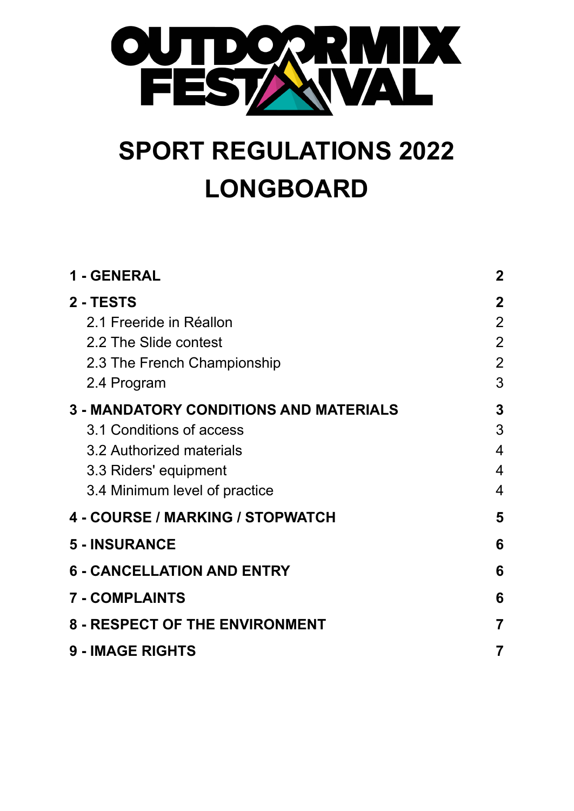

# **SPORT REGULATIONS 2022 LONGBOARD**

| $\mathbf 2$                                                               |
|---------------------------------------------------------------------------|
| $\overline{2}$<br>$\overline{2}$<br>$\overline{2}$<br>$\overline{2}$<br>3 |
| 3<br>3<br>$\overline{4}$<br>$\overline{4}$<br>$\overline{4}$              |
| 5                                                                         |
| 6                                                                         |
| 6                                                                         |
| 6                                                                         |
| 7                                                                         |
| 7                                                                         |
|                                                                           |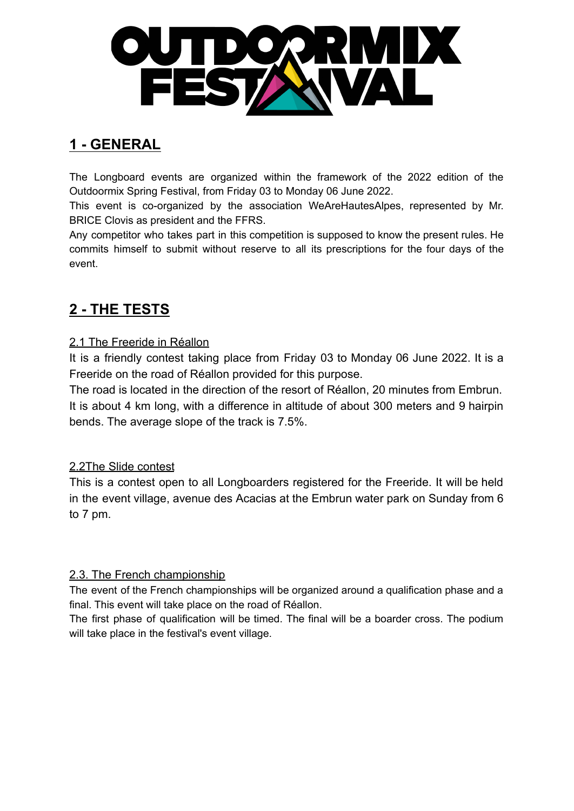

# <span id="page-1-0"></span>**1 - GENERAL**

The Longboard events are organized within the framework of the 2022 edition of the Outdoormix Spring Festival, from Friday 03 to Monday 06 June 2022.

This event is co-organized by the association WeAreHautesAlpes, represented by Mr. BRICE Clovis as president and the FFRS.

Any competitor who takes part in this competition is supposed to know the present rules. He commits himself to submit without reserve to all its prescriptions for the four days of the event.

# <span id="page-1-1"></span>**2 - THE TESTS**

## <span id="page-1-2"></span>2.1 The Freeride in Réallon

It is a friendly contest taking place from Friday 03 to Monday 06 June 2022. It is a Freeride on the road of Réallon provided for this purpose.

The road is located in the direction of the resort of Réallon, 20 minutes from Embrun. It is about 4 km long, with a difference in altitude of about 300 meters and 9 hairpin bends. The average slope of the track is 7.5%.

## <span id="page-1-3"></span>2.2The Slide contest

This is a contest open to all Longboarders registered for the Freeride. It will be held in the event village, avenue des Acacias at the Embrun water park on Sunday from 6 to 7 pm.

## <span id="page-1-4"></span>2.3. The French championship

The event of the French championships will be organized around a qualification phase and a final. This event will take place on the road of Réallon.

The first phase of qualification will be timed. The final will be a boarder cross. The podium will take place in the festival's event village.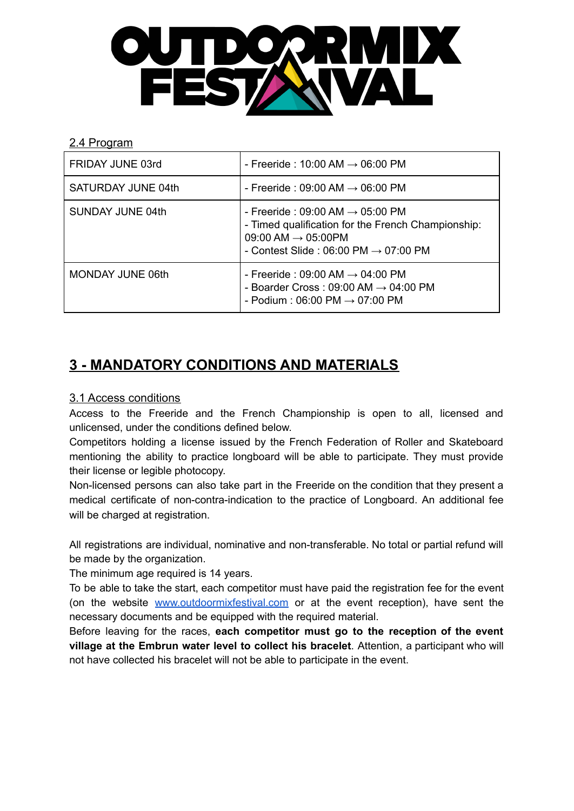

#### <span id="page-2-0"></span>2.4 Program

| <b>FRIDAY JUNE 03rd</b> | - Freeride : 10:00 AM $\rightarrow$ 06:00 PM                                                                                                                                              |
|-------------------------|-------------------------------------------------------------------------------------------------------------------------------------------------------------------------------------------|
| SATURDAY JUNE 04th      | - Freeride : 09:00 AM $\rightarrow$ 06:00 PM                                                                                                                                              |
| SUNDAY JUNE 04th        | - Freeride : 09:00 AM $\rightarrow$ 05:00 PM<br>- Timed qualification for the French Championship:<br>09:00 AM $\rightarrow$ 05:00PM<br>- Contest Slide : 06:00 PM $\rightarrow$ 07:00 PM |
| MONDAY JUNE 06th        | - Freeride : 09:00 AM $\rightarrow$ 04:00 PM<br>- Boarder Cross: $09:00$ AM $\rightarrow$ 04:00 PM<br>- Podium: 06:00 PM $\rightarrow$ 07:00 PM                                           |

## <span id="page-2-1"></span>**3 - MANDATORY CONDITIONS AND MATERIALS**

#### <span id="page-2-2"></span>3.1 Access conditions

Access to the Freeride and the French Championship is open to all, licensed and unlicensed, under the conditions defined below.

Competitors holding a license issued by the French Federation of Roller and Skateboard mentioning the ability to practice longboard will be able to participate. They must provide their license or legible photocopy.

Non-licensed persons can also take part in the Freeride on the condition that they present a medical certificate of non-contra-indication to the practice of Longboard. An additional fee will be charged at registration.

All registrations are individual, nominative and non-transferable. No total or partial refund will be made by the organization.

The minimum age required is 14 years.

To be able to take the start, each competitor must have paid the registration fee for the event (on the website [www.outdoormixfestival.com](http://www.outdoormixfestival.com) or at the event reception), have sent the necessary documents and be equipped with the required material.

Before leaving for the races, **each competitor must go to the reception of the event village at the Embrun water level to collect his bracelet**. Attention, a participant who will not have collected his bracelet will not be able to participate in the event.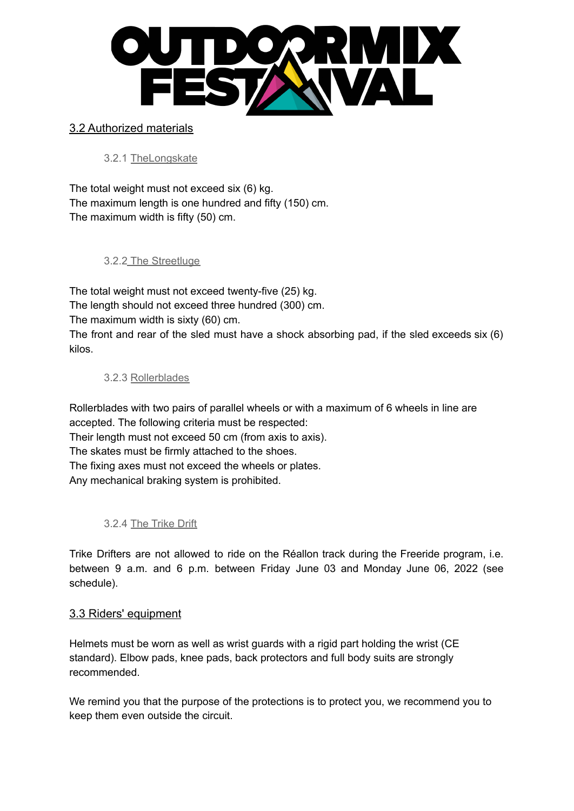

#### <span id="page-3-0"></span>3.2 Authorized materials

3.2.1 TheLongskate

The total weight must not exceed six (6) kg. The maximum length is one hundred and fifty (150) cm. The maximum width is fifty (50) cm.

3.2.2 The Streetluge

The total weight must not exceed twenty-five (25) kg. The length should not exceed three hundred (300) cm. The maximum width is sixty (60) cm. The front and rear of the sled must have a shock absorbing pad, if the sled exceeds six (6) kilos.

#### 3.2.3 Rollerblades

Rollerblades with two pairs of parallel wheels or with a maximum of 6 wheels in line are accepted. The following criteria must be respected: Their length must not exceed 50 cm (from axis to axis). The skates must be firmly attached to the shoes. The fixing axes must not exceed the wheels or plates. Any mechanical braking system is prohibited.

#### 3.2.4 The Trike Drift

Trike Drifters are not allowed to ride on the Réallon track during the Freeride program, i.e. between 9 a.m. and 6 p.m. between Friday June 03 and Monday June 06, 2022 (see schedule).

#### <span id="page-3-1"></span>3.3 Riders' equipment

Helmets must be worn as well as wrist guards with a rigid part holding the wrist (CE standard). Elbow pads, knee pads, back protectors and full body suits are strongly recommended.

We remind you that the purpose of the protections is to protect you, we recommend you to keep them even outside the circuit.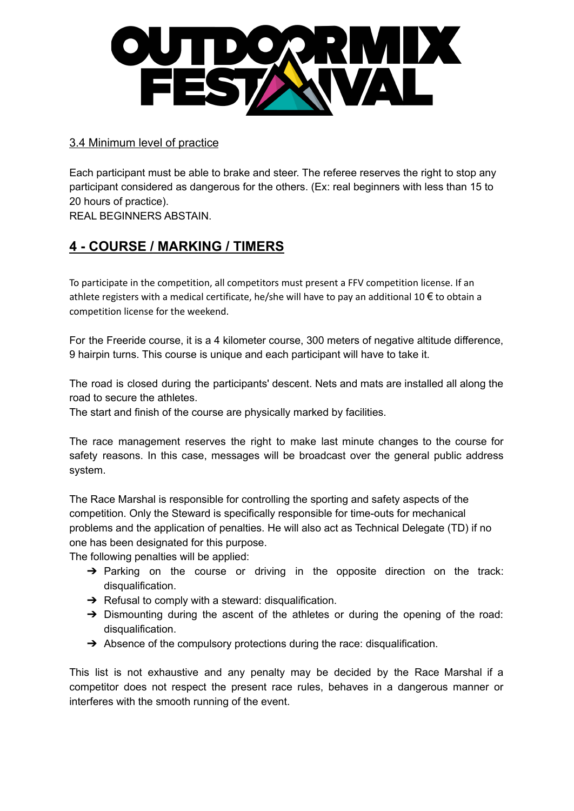

#### <span id="page-4-0"></span>3.4 Minimum level of practice

Each participant must be able to brake and steer. The referee reserves the right to stop any participant considered as dangerous for the others. (Ex: real beginners with less than 15 to 20 hours of practice).

REAL BEGINNERS ABSTAIN.

## **4 - COURSE / MARKING / TIMERS**

To participate in the competition, all competitors must present a FFV competition license. If an athlete registers with a medical certificate, he/she will have to pay an additional 10  $\epsilon$  to obtain a competition license for the weekend.

For the Freeride course, it is a 4 kilometer course, 300 meters of negative altitude difference, 9 hairpin turns. This course is unique and each participant will have to take it.

The road is closed during the participants' descent. Nets and mats are installed all along the road to secure the athletes.

The start and finish of the course are physically marked by facilities.

The race management reserves the right to make last minute changes to the course for safety reasons. In this case, messages will be broadcast over the general public address system.

The Race Marshal is responsible for controlling the sporting and safety aspects of the competition. Only the Steward is specifically responsible for time-outs for mechanical problems and the application of penalties. He will also act as Technical Delegate (TD) if no one has been designated for this purpose.

The following penalties will be applied:

- $\rightarrow$  Parking on the course or driving in the opposite direction on the track: disqualification.
- → Refusal to comply with a steward: disqualification.
- $\rightarrow$  Dismounting during the ascent of the athletes or during the opening of the road: disqualification.
- $\rightarrow$  Absence of the compulsory protections during the race: disqualification.

This list is not exhaustive and any penalty may be decided by the Race Marshal if a competitor does not respect the present race rules, behaves in a dangerous manner or interferes with the smooth running of the event.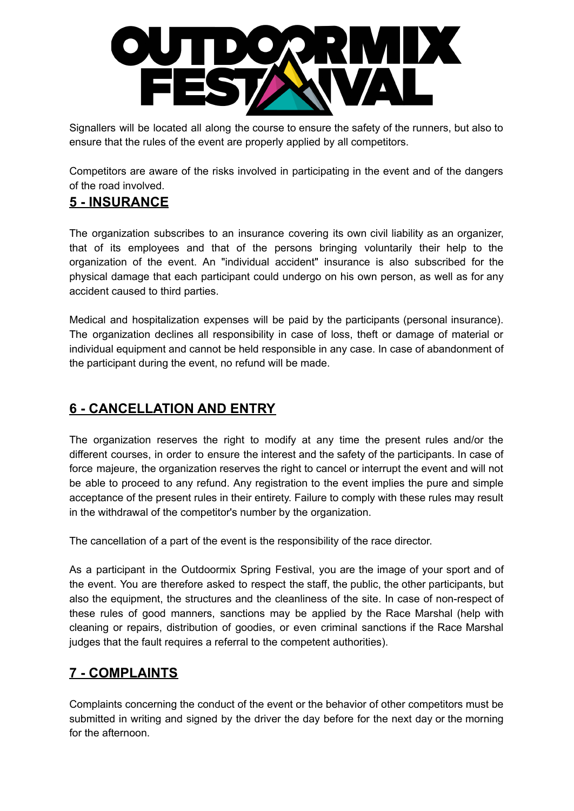

Signallers will be located all along the course to ensure the safety of the runners, but also to ensure that the rules of the event are properly applied by all competitors.

Competitors are aware of the risks involved in participating in the event and of the dangers of the road involved.

## <span id="page-5-0"></span>**5 - INSURANCE**

The organization subscribes to an insurance covering its own civil liability as an organizer, that of its employees and that of the persons bringing voluntarily their help to the organization of the event. An "individual accident" insurance is also subscribed for the physical damage that each participant could undergo on his own person, as well as for any accident caused to third parties.

Medical and hospitalization expenses will be paid by the participants (personal insurance). The organization declines all responsibility in case of loss, theft or damage of material or individual equipment and cannot be held responsible in any case. In case of abandonment of the participant during the event, no refund will be made.

## <span id="page-5-1"></span>**6 - CANCELLATION AND ENTRY**

The organization reserves the right to modify at any time the present rules and/or the different courses, in order to ensure the interest and the safety of the participants. In case of force majeure, the organization reserves the right to cancel or interrupt the event and will not be able to proceed to any refund. Any registration to the event implies the pure and simple acceptance of the present rules in their entirety. Failure to comply with these rules may result in the withdrawal of the competitor's number by the organization.

The cancellation of a part of the event is the responsibility of the race director.

As a participant in the Outdoormix Spring Festival, you are the image of your sport and of the event. You are therefore asked to respect the staff, the public, the other participants, but also the equipment, the structures and the cleanliness of the site. In case of non-respect of these rules of good manners, sanctions may be applied by the Race Marshal (help with cleaning or repairs, distribution of goodies, or even criminal sanctions if the Race Marshal judges that the fault requires a referral to the competent authorities).

## <span id="page-5-2"></span>**7 - COMPLAINTS**

Complaints concerning the conduct of the event or the behavior of other competitors must be submitted in writing and signed by the driver the day before for the next day or the morning for the afternoon.